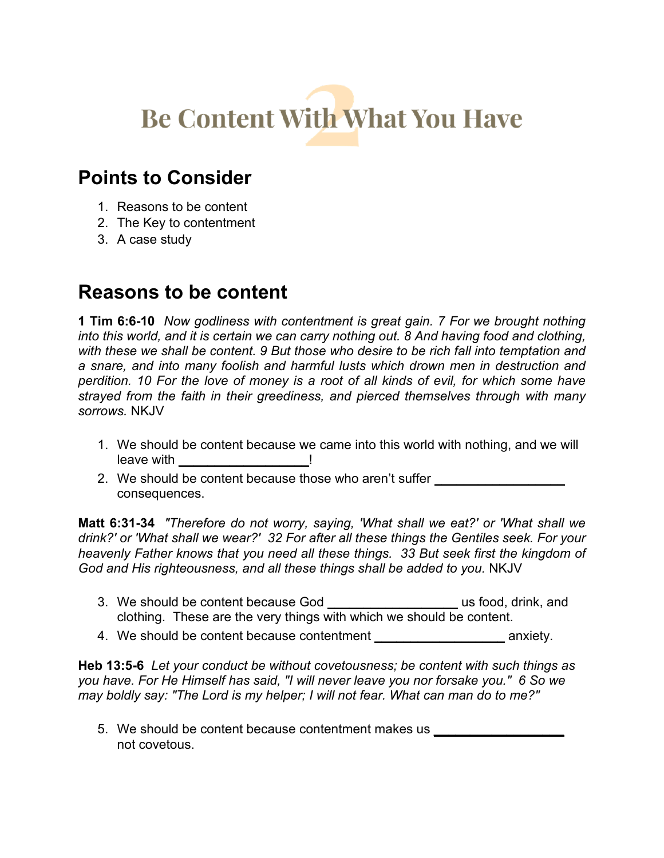# **Be Content With What You Have**

## **Points to Consider**

- 1. Reasons to be content
- 2. The Key to contentment
- 3. A case study

## **Reasons to be content**

**1 Tim 6:6-10** *Now godliness with contentment is great gain. 7 For we brought nothing into this world, and it is certain we can carry nothing out. 8 And having food and clothing, with these we shall be content. 9 But those who desire to be rich fall into temptation and a snare, and into many foolish and harmful lusts which drown men in destruction and perdition. 10 For the love of money is a root of all kinds of evil, for which some have strayed from the faith in their greediness, and pierced themselves through with many sorrows.* NKJV

- 1. We should be content because we came into this world with nothing, and we will leave with **the set of the set of the set of the set of the set of the set of the set of the set of the set of th**
- 2. We should be content because those who aren't suffer consequences.

**Matt 6:31-34** *"Therefore do not worry, saying, 'What shall we eat?' or 'What shall we drink?' or 'What shall we wear?' 32 For after all these things the Gentiles seek. For your heavenly Father knows that you need all these things. 33 But seek first the kingdom of God and His righteousness, and all these things shall be added to you.* NKJV

- 3. We should be content because God **\_\_\_\_\_\_\_\_\_\_\_\_\_\_\_\_\_\_** us food, drink, and clothing. These are the very things with which we should be content.
- 4. We should be content because contentment **\_\_\_\_\_\_\_\_\_\_\_\_\_\_\_\_\_\_** anxiety.

**Heb 13:5-6** *Let your conduct be without covetousness; be content with such things as you have. For He Himself has said, "I will never leave you nor forsake you." 6 So we may boldly say: "The Lord is my helper; I will not fear. What can man do to me?"*

5. We should be content because contentment makes us **\_\_\_\_\_\_\_\_\_\_\_\_\_\_\_\_\_\_** not covetous.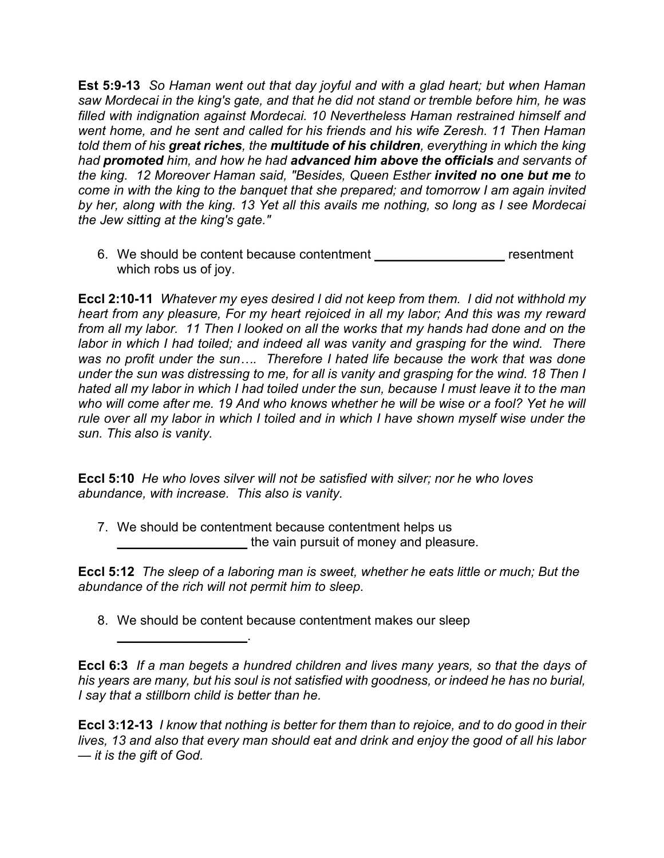**Est 5:9-13** *So Haman went out that day joyful and with a glad heart; but when Haman saw Mordecai in the king's gate, and that he did not stand or tremble before him, he was filled with indignation against Mordecai. 10 Nevertheless Haman restrained himself and went home, and he sent and called for his friends and his wife Zeresh. 11 Then Haman told them of his great riches, the multitude of his children, everything in which the king had promoted him, and how he had advanced him above the officials and servants of the king. 12 Moreover Haman said, "Besides, Queen Esther invited no one but me to come in with the king to the banquet that she prepared; and tomorrow I am again invited by her, along with the king. 13 Yet all this avails me nothing, so long as I see Mordecai the Jew sitting at the king's gate."* 

6. We should be content because contentment **\_\_\_\_\_\_\_\_\_\_\_\_\_\_\_\_\_\_** resentment which robs us of joy.

**Eccl 2:10-11** *Whatever my eyes desired I did not keep from them. I did not withhold my heart from any pleasure, For my heart rejoiced in all my labor; And this was my reward from all my labor. 11 Then I looked on all the works that my hands had done and on the labor in which I had toiled; and indeed all was vanity and grasping for the wind. There was no profit under the sun…. Therefore I hated life because the work that was done under the sun was distressing to me, for all is vanity and grasping for the wind. 18 Then I hated all my labor in which I had toiled under the sun, because I must leave it to the man who will come after me. 19 And who knows whether he will be wise or a fool? Yet he will rule over all my labor in which I toiled and in which I have shown myself wise under the sun. This also is vanity.*

**Eccl 5:10** *He who loves silver will not be satisfied with silver; nor he who loves abundance, with increase. This also is vanity.*

7. We should be contentment because contentment helps us **\_\_\_\_\_\_\_\_\_\_\_\_\_\_\_\_\_\_** the vain pursuit of money and pleasure.

**Eccl 5:12** *The sleep of a laboring man is sweet, whether he eats little or much; But the abundance of the rich will not permit him to sleep.* 

8. We should be content because contentment makes our sleep

**\_\_\_\_\_\_\_\_\_\_\_\_\_\_\_\_\_\_**.

**Eccl 6:3** *If a man begets a hundred children and lives many years, so that the days of his years are many, but his soul is not satisfied with goodness, or indeed he has no burial, I say that a stillborn child is better than he.*

**Eccl 3:12-13** *I know that nothing is better for them than to rejoice, and to do good in their lives, 13 and also that every man should eat and drink and enjoy the good of all his labor — it is the gift of God.*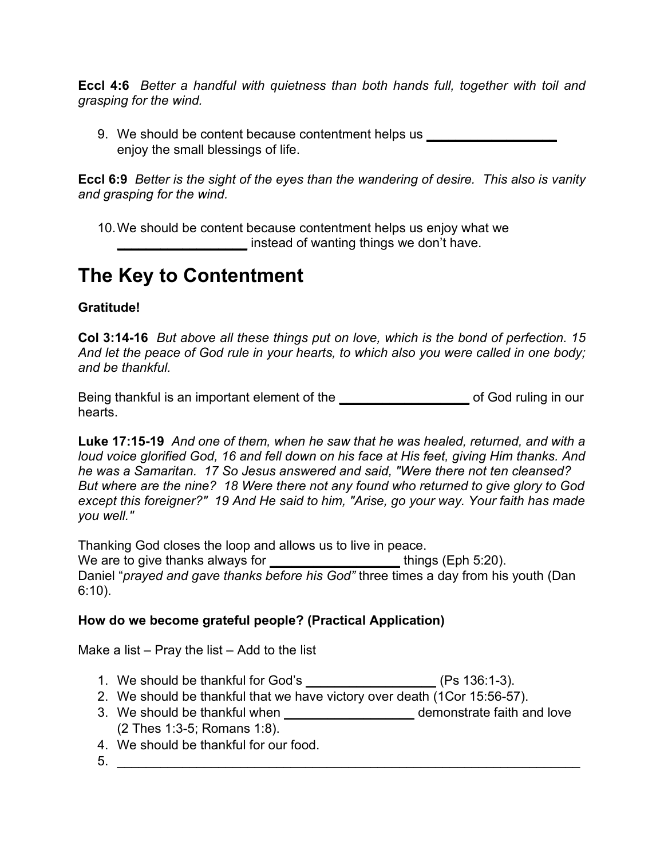**Eccl 4:6** *Better a handful with quietness than both hands full, together with toil and grasping for the wind.*

9. We should be content because contentment helps us enjoy the small blessings of life.

**Eccl 6:9** *Better is the sight of the eyes than the wandering of desire. This also is vanity and grasping for the wind.*

10.We should be content because contentment helps us enjoy what we **\_\_\_\_\_\_\_\_\_\_\_\_\_\_\_\_\_\_** instead of wanting things we don't have.

## **The Key to Contentment**

#### **Gratitude!**

**Col 3:14-16** *But above all these things put on love, which is the bond of perfection. 15 And let the peace of God rule in your hearts, to which also you were called in one body; and be thankful.* 

Being thankful is an important element of the **\_\_\_\_\_\_\_\_\_\_\_\_\_\_\_\_\_\_** of God ruling in our hearts.

**Luke 17:15-19** *And one of them, when he saw that he was healed, returned, and with a loud voice glorified God, 16 and fell down on his face at His feet, giving Him thanks. And he was a Samaritan. 17 So Jesus answered and said, "Were there not ten cleansed? But where are the nine? 18 Were there not any found who returned to give glory to God except this foreigner?" 19 And He said to him, "Arise, go your way. Your faith has made you well."* 

Thanking God closes the loop and allows us to live in peace. We are to give thanks always for **the set of the set of the set of the set of the set of the set of the set of the set of the set of the set of the set of the set of the set of the set of the set of the set of the set of t** Daniel "*prayed and gave thanks before his God"* three times a day from his youth (Dan 6:10).

#### **How do we become grateful people? (Practical Application)**

Make a list – Pray the list – Add to the list

- 1. We should be thankful for God's **\_\_\_\_\_\_\_\_\_\_\_\_\_\_\_\_\_\_** (Ps 136:1-3).
- 2. We should be thankful that we have victory over death (1Cor 15:56-57).
- 3. We should be thankful when **\_\_\_\_\_\_\_\_\_\_\_\_\_\_\_\_\_\_** demonstrate faith and love (2 Thes 1:3-5; Romans 1:8).
- 4. We should be thankful for our food.
- $5.$